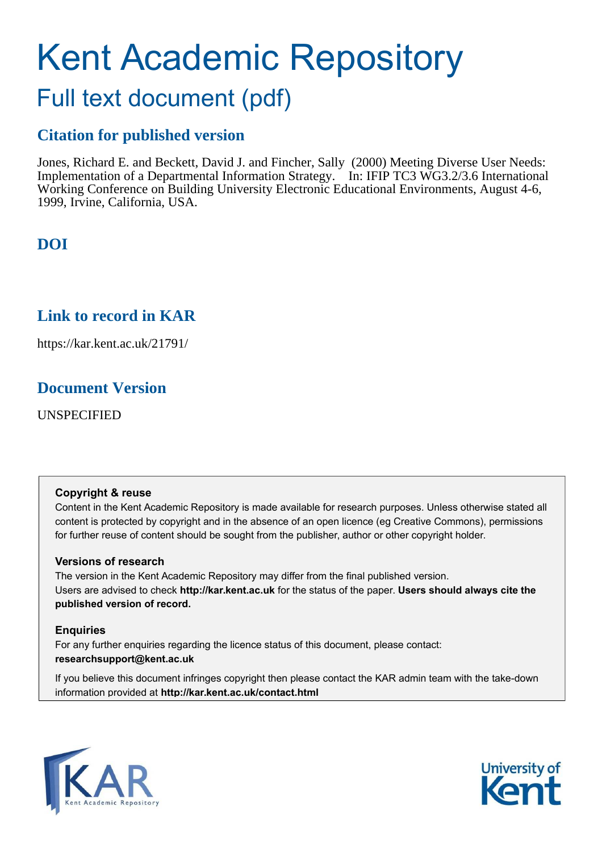# Kent Academic Repository

# Full text document (pdf)

#### **Citation for published version**

Jones, Richard E. and Beckett, David J. and Fincher, Sally (2000) Meeting Diverse User Needs: Implementation of a Departmental Information Strategy. In: IFIP TC3 WG3.2/3.6 International Working Conference on Building University Electronic Educational Environments, August 4-6, 1999, Irvine, California, USA.

#### **DOI**

#### **Link to record in KAR**

https://kar.kent.ac.uk/21791/

#### **Document Version**

UNSPECIFIED

#### **Copyright & reuse**

Content in the Kent Academic Repository is made available for research purposes. Unless otherwise stated all content is protected by copyright and in the absence of an open licence (eg Creative Commons), permissions for further reuse of content should be sought from the publisher, author or other copyright holder.

#### **Versions of research**

The version in the Kent Academic Repository may differ from the final published version. Users are advised to check **http://kar.kent.ac.uk** for the status of the paper. **Users should always cite the published version of record.**

#### **Enquiries**

For any further enquiries regarding the licence status of this document, please contact: **researchsupport@kent.ac.uk**

If you believe this document infringes copyright then please contact the KAR admin team with the take-down information provided at **http://kar.kent.ac.uk/contact.html**



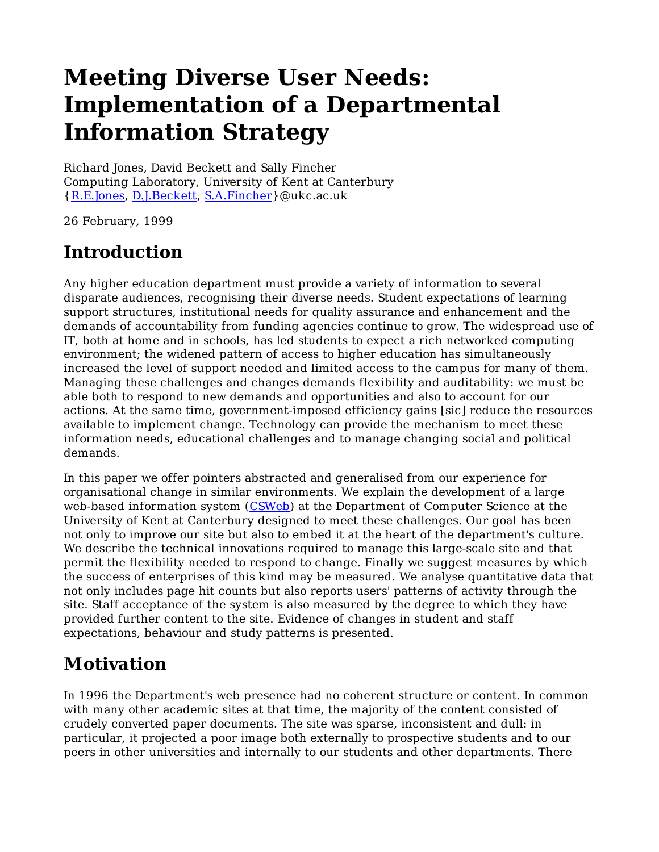## **Meeting Diverse User Needs: Implementation of a Departmental Information Strategy**

Richard Jones, David Beckett and Sally Fincher Computing Laboratory, University of Kent at Canterbury {R.E.Jones, D.J.Beckett, S.A.Fincher}@ukc.ac.uk

26 February, 1999

### **Introduction**

Any higher education department must provide a variety of information to several disparate audiences, recognising their diverse needs. Student expectations of learning support structures, institutional needs for quality assurance and enhancement and the demands of accountability from funding agencies continue to grow. The widespread use of IT, both at home and in schools, has led students to expect a rich networked computing environment; the widened pattern of access to higher education has simultaneously increased the level of support needed and limited access to the campus for many of them. Managing these challenges and changes demands flexibility and auditability: we must be able both to respond to new demands and opportunities and also to account for our actions. At the same time, government-imposed efficiency gains [sic] reduce the resources available to implement change. Technology can provide the mechanism to meet these information needs, educational challenges and to manage changing social and political demands.

In this paper we offer pointers abstracted and generalised from our experience for organisational change in similar environments. We explain the development of a large web-based information system (CSWeb) at the Department of Computer Science at the University of Kent at Canterbury designed to meet these challenges. Our goal has been not only to improve our site but also to embed it at the heart of the department's culture. We describe the technical innovations required to manage this large-scale site and that permit the flexibility needed to respond to change. Finally we suggest measures by which the success of enterprises of this kind may be measured. We analyse quantitative data that not only includes page hit counts but also reports users' patterns of activity through the site. Staff acceptance of the system is also measured by the degree to which they have provided further content to the site. Evidence of changes in student and staff expectations, behaviour and study patterns is presented.

#### **Motivation**

In 1996 the Department's web presence had no coherent structure or content. In common with many other academic sites at that time, the majority of the content consisted of crudely converted paper documents. The site was sparse, inconsistent and dull: in particular, it projected a poor image both externally to prospective students and to our peers in other universities and internally to our students and other departments. There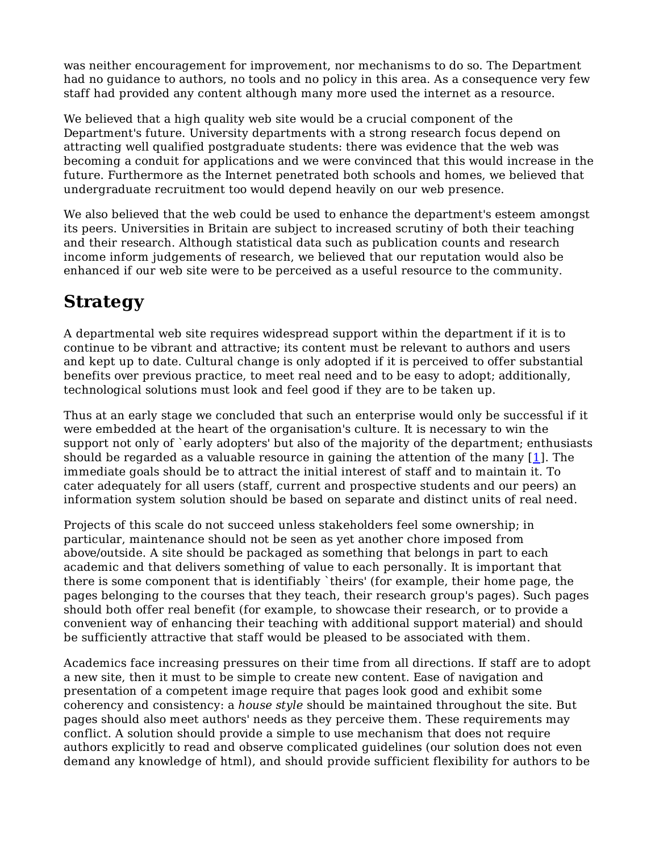was neither encouragement for improvement, nor mechanisms to do so. The Department had no guidance to authors, no tools and no policy in this area. As a consequence very few staff had provided any content although many more used the internet as a resource.

We believed that a high quality web site would be a crucial component of the Department's future. University departments with a strong research focus depend on attracting well qualified postgraduate students: there was evidence that the web was becoming a conduit for applications and we were convinced that this would increase in the future. Furthermore as the Internet penetrated both schools and homes, we believed that undergraduate recruitment too would depend heavily on our web presence.

We also believed that the web could be used to enhance the department's esteem amongst its peers. Universities in Britain are subject to increased scrutiny of both their teaching and their research. Although statistical data such as publication counts and research income inform judgements of research, we believed that our reputation would also be enhanced if our web site were to be perceived as a useful resource to the community.

#### **Strategy**

A departmental web site requires widespread support within the department if it is to continue to be vibrant and attractive; its content must be relevant to authors and users and kept up to date. Cultural change is only adopted if it is perceived to offer substantial benefits over previous practice, to meet real need and to be easy to adopt; additionally, technological solutions must look and feel good if they are to be taken up.

Thus at an early stage we concluded that such an enterprise would only be successful if it were embedded at the heart of the organisation's culture. It is necessary to win the support not only of `early adopters' but also of the majority of the department; enthusiasts should be regarded as a valuable resource in gaining the attention of the many [1]. The immediate goals should be to attract the initial interest of staff and to maintain it. To cater adequately for all users (staff, current and prospective students and our peers) an information system solution should be based on separate and distinct units of real need.

Projects of this scale do not succeed unless stakeholders feel some ownership; in particular, maintenance should not be seen as yet another chore imposed from above/outside. A site should be packaged as something that belongs in part to each academic and that delivers something of value to each personally. It is important that there is some component that is identifiably `theirs' (for example, their home page, the pages belonging to the courses that they teach, their research group's pages). Such pages should both offer real benefit (for example, to showcase their research, or to provide a convenient way of enhancing their teaching with additional support material) and should be sufficiently attractive that staff would be pleased to be associated with them.

Academics face increasing pressures on their time from all directions. If staff are to adopt a new site, then it must to be simple to create new content. Ease of navigation and presentation of a competent image require that pages look good and exhibit some coherency and consistency: a *house style* should be maintained throughout the site. But pages should also meet authors' needs as they perceive them. These requirements may conflict. A solution should provide a simple to use mechanism that does not require authors explicitly to read and observe complicated guidelines (our solution does not even demand any knowledge of html), and should provide sufficient flexibility for authors to be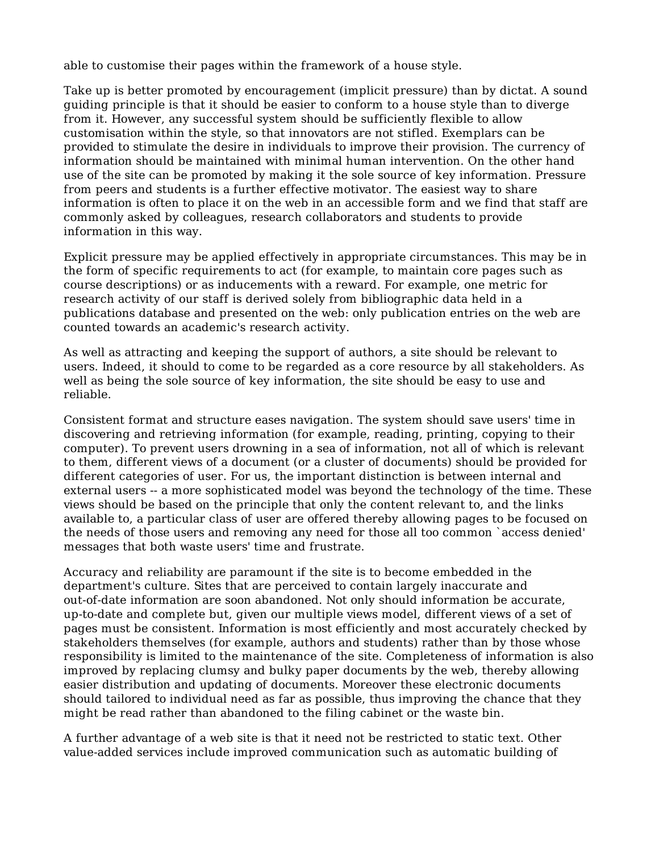able to customise their pages within the framework of a house style.

Take up is better promoted by encouragement (implicit pressure) than by dictat. A sound guiding principle is that it should be easier to conform to a house style than to diverge from it. However, any successful system should be sufficiently flexible to allow customisation within the style, so that innovators are not stifled. Exemplars can be provided to stimulate the desire in individuals to improve their provision. The currency of information should be maintained with minimal human intervention. On the other hand use of the site can be promoted by making it the sole source of key information. Pressure from peers and students is a further effective motivator. The easiest way to share information is often to place it on the web in an accessible form and we find that staff are commonly asked by colleagues, research collaborators and students to provide information in this way.

Explicit pressure may be applied effectively in appropriate circumstances. This may be in the form of specific requirements to act (for example, to maintain core pages such as course descriptions) or as inducements with a reward. For example, one metric for research activity of our staff is derived solely from bibliographic data held in a publications database and presented on the web: only publication entries on the web are counted towards an academic's research activity.

As well as attracting and keeping the support of authors, a site should be relevant to users. Indeed, it should to come to be regarded as a core resource by all stakeholders. As well as being the sole source of key information, the site should be easy to use and reliable.

Consistent format and structure eases navigation. The system should save users' time in discovering and retrieving information (for example, reading, printing, copying to their computer). To prevent users drowning in a sea of information, not all of which is relevant to them, different views of a document (or a cluster of documents) should be provided for different categories of user. For us, the important distinction is between internal and external users -- a more sophisticated model was beyond the technology of the time. These views should be based on the principle that only the content relevant to, and the links available to, a particular class of user are offered thereby allowing pages to be focused on the needs of those users and removing any need for those all too common `access denied' messages that both waste users' time and frustrate.

Accuracy and reliability are paramount if the site is to become embedded in the department's culture. Sites that are perceived to contain largely inaccurate and out-of-date information are soon abandoned. Not only should information be accurate, up-to-date and complete but, given our multiple views model, different views of a set of pages must be consistent. Information is most efficiently and most accurately checked by stakeholders themselves (for example, authors and students) rather than by those whose responsibility is limited to the maintenance of the site. Completeness of information is also improved by replacing clumsy and bulky paper documents by the web, thereby allowing easier distribution and updating of documents. Moreover these electronic documents should tailored to individual need as far as possible, thus improving the chance that they might be read rather than abandoned to the filing cabinet or the waste bin.

A further advantage of a web site is that it need not be restricted to static text. Other value-added services include improved communication such as automatic building of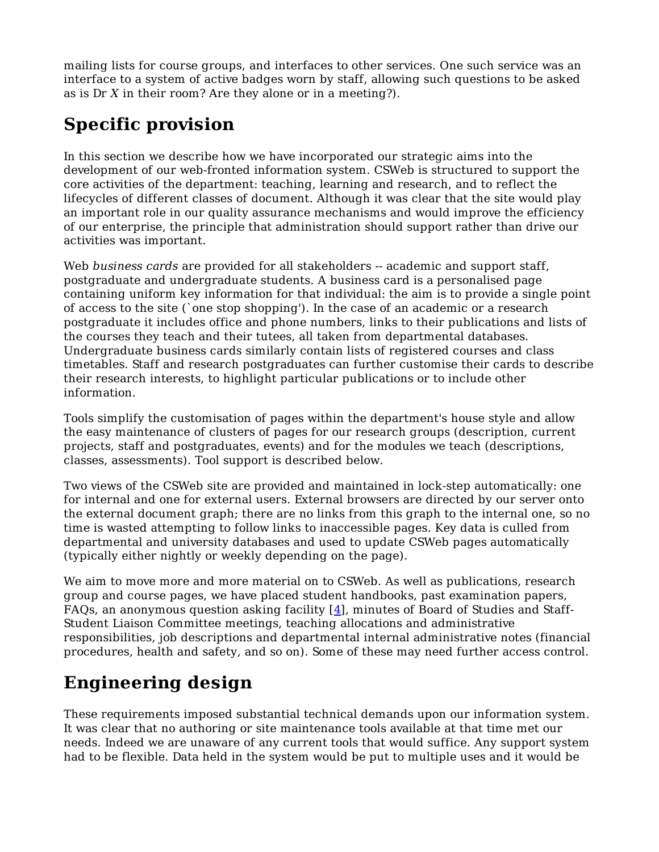mailing lists for course groups, and interfaces to other services. One such service was an interface to a system of active badges worn by staff, allowing such questions to be asked as is Dr *X* in their room? Are they alone or in a meeting?).

## **Specific provision**

In this section we describe how we have incorporated our strategic aims into the development of our web-fronted information system. CSWeb is structured to support the core activities of the department: teaching, learning and research, and to reflect the lifecycles of different classes of document. Although it was clear that the site would play an important role in our quality assurance mechanisms and would improve the efficiency of our enterprise, the principle that administration should support rather than drive our activities was important.

Web *business cards* are provided for all stakeholders -- academic and support staff, postgraduate and undergraduate students. A business card is a personalised page containing uniform key information for that individual: the aim is to provide a single point of access to the site (`one stop shopping'). In the case of an academic or a research postgraduate it includes office and phone numbers, links to their publications and lists of the courses they teach and their tutees, all taken from departmental databases. Undergraduate business cards similarly contain lists of registered courses and class timetables. Staff and research postgraduates can further customise their cards to describe their research interests, to highlight particular publications or to include other information.

Tools simplify the customisation of pages within the department's house style and allow the easy maintenance of clusters of pages for our research groups (description, current projects, staff and postgraduates, events) and for the modules we teach (descriptions, classes, assessments). Tool support is described below.

Two views of the CSWeb site are provided and maintained in lock-step automatically: one for internal and one for external users. External browsers are directed by our server onto the external document graph; there are no links from this graph to the internal one, so no time is wasted attempting to follow links to inaccessible pages. Key data is culled from departmental and university databases and used to update CSWeb pages automatically (typically either nightly or weekly depending on the page).

We aim to move more and more material on to CSWeb. As well as publications, research group and course pages, we have placed student handbooks, past examination papers, FAQs, an anonymous question asking facility  $[4]$ , minutes of Board of Studies and Staff-Student Liaison Committee meetings, teaching allocations and administrative responsibilities, job descriptions and departmental internal administrative notes (financial procedures, health and safety, and so on). Some of these may need further access control.

## **Engineering design**

These requirements imposed substantial technical demands upon our information system. It was clear that no authoring or site maintenance tools available at that time met our needs. Indeed we are unaware of any current tools that would suffice. Any support system had to be flexible. Data held in the system would be put to multiple uses and it would be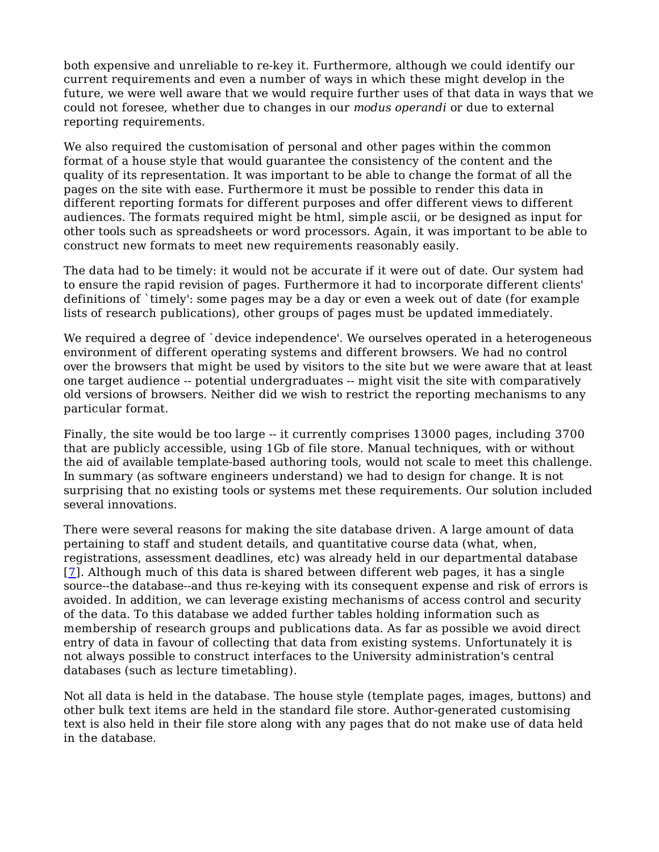both expensive and unreliable to re-key it. Furthermore, although we could identify our current requirements and even a number of ways in which these might develop in the future, we were well aware that we would require further uses of that data in ways that we could not foresee, whether due to changes in our *modus operandi* or due to external reporting requirements.

We also required the customisation of personal and other pages within the common format of a house style that would guarantee the consistency of the content and the quality of its representation. It was important to be able to change the format of all the pages on the site with ease. Furthermore it must be possible to render this data in different reporting formats for different purposes and offer different views to different audiences. The formats required might be html, simple ascii, or be designed as input for other tools such as spreadsheets or word processors. Again, it was important to be able to construct new formats to meet new requirements reasonably easily.

The data had to be timely: it would not be accurate if it were out of date. Our system had to ensure the rapid revision of pages. Furthermore it had to incorporate different clients' definitions of `timely': some pages may be a day or even a week out of date (for example lists of research publications), other groups of pages must be updated immediately.

We required a degree of `device independence'. We ourselves operated in a heterogeneous environment of different operating systems and different browsers. We had no control over the browsers that might be used by visitors to the site but we were aware that at least one target audience -- potential undergraduates -- might visit the site with comparatively old versions of browsers. Neither did we wish to restrict the reporting mechanisms to any particular format.

Finally, the site would be too large -- it currently comprises 13000 pages, including 3700 that are publicly accessible, using 1Gb of file store. Manual techniques, with or without the aid of available template-based authoring tools, would not scale to meet this challenge. In summary (as software engineers understand) we had to design for change. It is not surprising that no existing tools or systems met these requirements. Our solution included several innovations.

There were several reasons for making the site database driven. A large amount of data pertaining to staff and student details, and quantitative course data (what, when, registrations, assessment deadlines, etc) was already held in our departmental database [7]. Although much of this data is shared between different web pages, it has a single source--the database--and thus re-keying with its consequent expense and risk of errors is avoided. In addition, we can leverage existing mechanisms of access control and security of the data. To this database we added further tables holding information such as membership of research groups and publications data. As far as possible we avoid direct entry of data in favour of collecting that data from existing systems. Unfortunately it is not always possible to construct interfaces to the University administration's central databases (such as lecture timetabling).

Not all data is held in the database. The house style (template pages, images, buttons) and other bulk text items are held in the standard file store. Author-generated customising text is also held in their file store along with any pages that do not make use of data held in the database.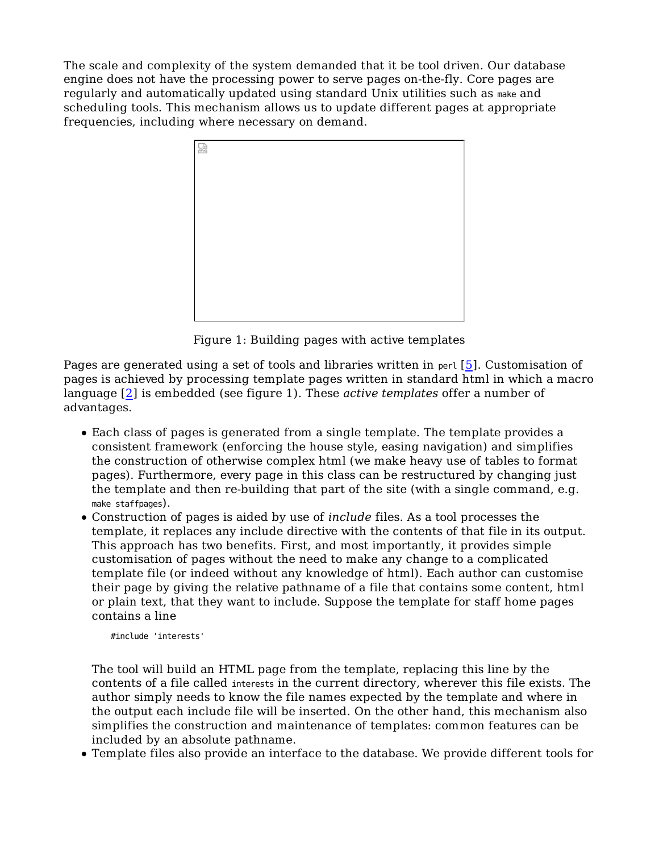The scale and complexity of the system demanded that it be tool driven. Our database engine does not have the processing power to serve pages on-the-fly. Core pages are regularly and automatically updated using standard Unix utilities such as make and scheduling tools. This mechanism allows us to update different pages at appropriate frequencies, including where necessary on demand.



Figure 1: Building pages with active templates

Pages are generated using a set of tools and libraries written in pert [5]. Customisation of pages is achieved by processing template pages written in standard html in which a macro language [2] is embedded (see figure 1). These *active templates* offer a number of advantages.

- Each class of pages is generated from a single template. The template provides a consistent framework (enforcing the house style, easing navigation) and simplifies the construction of otherwise complex html (we make heavy use of tables to format pages). Furthermore, every page in this class can be restructured by changing just the template and then re-building that part of the site (with a single command, e.g. make staffpages).
- Construction of pages is aided by use of *include* files. As a tool processes the template, it replaces any include directive with the contents of that file in its output. This approach has two benefits. First, and most importantly, it provides simple customisation of pages without the need to make any change to a complicated template file (or indeed without any knowledge of html). Each author can customise their page by giving the relative pathname of a file that contains some content, html or plain text, that they want to include. Suppose the template for staff home pages contains a line

#include 'interests'

The tool will build an HTML page from the template, replacing this line by the contents of a file called interests in the current directory, wherever this file exists. The author simply needs to know the file names expected by the template and where in the output each include file will be inserted. On the other hand, this mechanism also simplifies the construction and maintenance of templates: common features can be included by an absolute pathname.

Template files also provide an interface to the database. We provide different tools for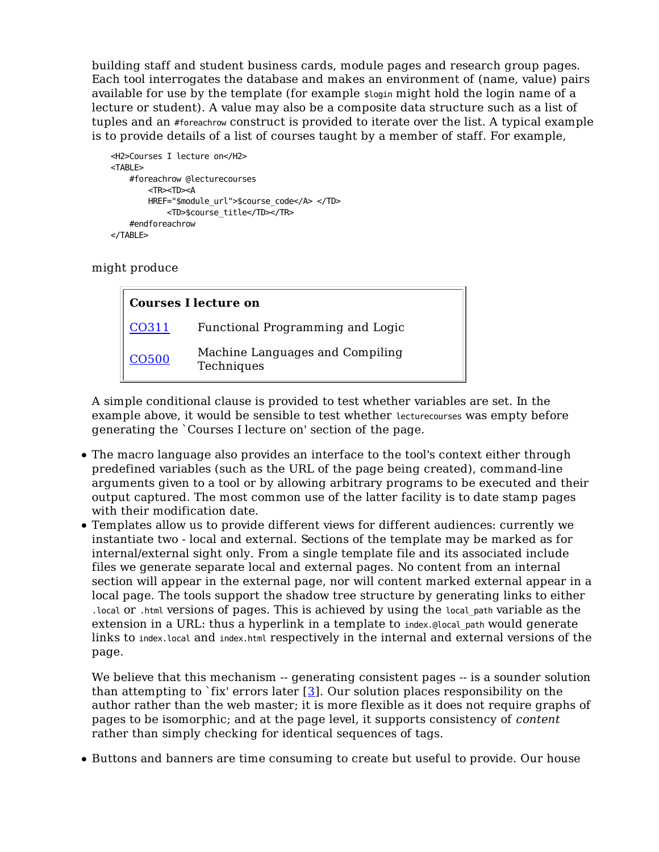building staff and student business cards, module pages and research group pages. Each tool interrogates the database and makes an environment of (name, value) pairs available for use by the template (for example \$login might hold the login name of a lecture or student). A value may also be a composite data structure such as a list of tuples and an #foreachrow construct is provided to iterate over the list. A typical example is to provide details of a list of courses taught by a member of staff. For example,

```
 <H2>Courses I lecture on</H2>
<TABLE>
    #foreachrow @lecturecourses
        <TR><TD><A
        HREF="$module_url">$course_code</A> </TD>
             <TD>$course_title</TD></TR>
    #endforeachrow
</TABLE>
```
#### might produce

| <b>Courses I lecture on</b> |                                               |
|-----------------------------|-----------------------------------------------|
| CO311                       | Functional Programming and Logic              |
| <b>CO500</b>                | Machine Languages and Compiling<br>Techniques |

A simple conditional clause is provided to test whether variables are set. In the example above, it would be sensible to test whether lecturecourses was empty before generating the `Courses I lecture on' section of the page.

- The macro language also provides an interface to the tool's context either through predefined variables (such as the URL of the page being created), command-line arguments given to a tool or by allowing arbitrary programs to be executed and their output captured. The most common use of the latter facility is to date stamp pages with their modification date.
- Templates allow us to provide different views for different audiences: currently we instantiate two - local and external. Sections of the template may be marked as for internal/external sight only. From a single template file and its associated include files we generate separate local and external pages. No content from an internal section will appear in the external page, nor will content marked external appear in a local page. The tools support the shadow tree structure by generating links to either .local or .html versions of pages. This is achieved by using the local\_path variable as the extension in a URL: thus a hyperlink in a template to index.@local\_path would generate links to index.local and index.html respectively in the internal and external versions of the page.

We believe that this mechanism -- generating consistent pages -- is a sounder solution than attempting to `fix' errors later [3]. Our solution places responsibility on the author rather than the web master; it is more flexible as it does not require graphs of pages to be isomorphic; and at the page level, it supports consistency of *content* rather than simply checking for identical sequences of tags.

Buttons and banners are time consuming to create but useful to provide. Our house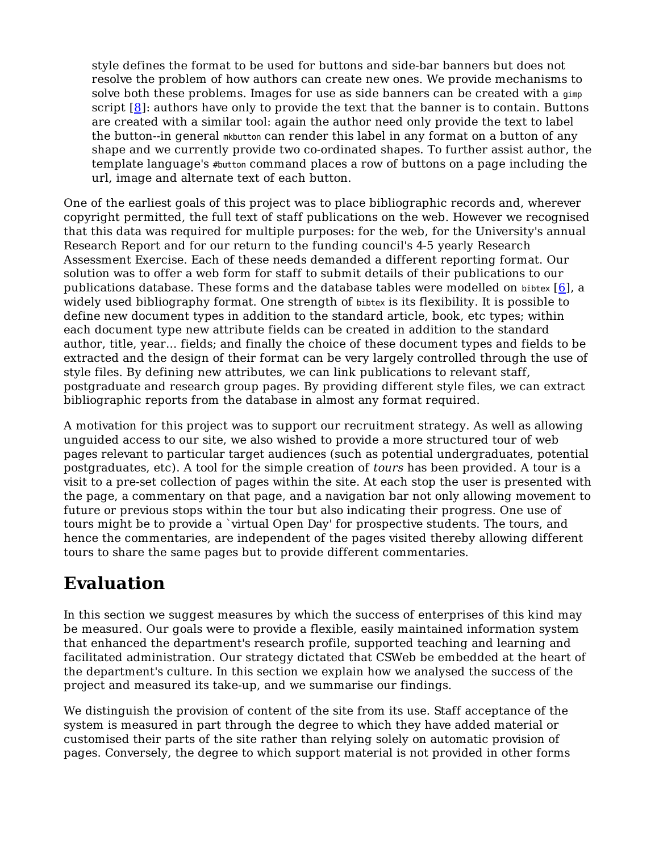style defines the format to be used for buttons and side-bar banners but does not resolve the problem of how authors can create new ones. We provide mechanisms to solve both these problems. Images for use as side banners can be created with a gimp script [8]: authors have only to provide the text that the banner is to contain. Buttons are created with a similar tool: again the author need only provide the text to label the button--in general mkbutton can render this label in any format on a button of any shape and we currently provide two co-ordinated shapes. To further assist author, the template language's #button command places a row of buttons on a page including the url, image and alternate text of each button.

One of the earliest goals of this project was to place bibliographic records and, wherever copyright permitted, the full text of staff publications on the web. However we recognised that this data was required for multiple purposes: for the web, for the University's annual Research Report and for our return to the funding council's 4-5 yearly Research Assessment Exercise. Each of these needs demanded a different reporting format. Our solution was to offer a web form for staff to submit details of their publications to our publications database. These forms and the database tables were modelled on bibtex  $[6]$ , a widely used bibliography format. One strength of bibtex is its flexibility. It is possible to define new document types in addition to the standard article, book, etc types; within each document type new attribute fields can be created in addition to the standard author, title, year... fields; and finally the choice of these document types and fields to be extracted and the design of their format can be very largely controlled through the use of style files. By defining new attributes, we can link publications to relevant staff, postgraduate and research group pages. By providing different style files, we can extract bibliographic reports from the database in almost any format required.

A motivation for this project was to support our recruitment strategy. As well as allowing unguided access to our site, we also wished to provide a more structured tour of web pages relevant to particular target audiences (such as potential undergraduates, potential postgraduates, etc). A tool for the simple creation of *tours* has been provided. A tour is a visit to a pre-set collection of pages within the site. At each stop the user is presented with the page, a commentary on that page, and a navigation bar not only allowing movement to future or previous stops within the tour but also indicating their progress. One use of tours might be to provide a `virtual Open Day' for prospective students. The tours, and hence the commentaries, are independent of the pages visited thereby allowing different tours to share the same pages but to provide different commentaries.

#### **Evaluation**

In this section we suggest measures by which the success of enterprises of this kind may be measured. Our goals were to provide a flexible, easily maintained information system that enhanced the department's research profile, supported teaching and learning and facilitated administration. Our strategy dictated that CSWeb be embedded at the heart of the department's culture. In this section we explain how we analysed the success of the project and measured its take-up, and we summarise our findings.

We distinguish the provision of content of the site from its use. Staff acceptance of the system is measured in part through the degree to which they have added material or customised their parts of the site rather than relying solely on automatic provision of pages. Conversely, the degree to which support material is not provided in other forms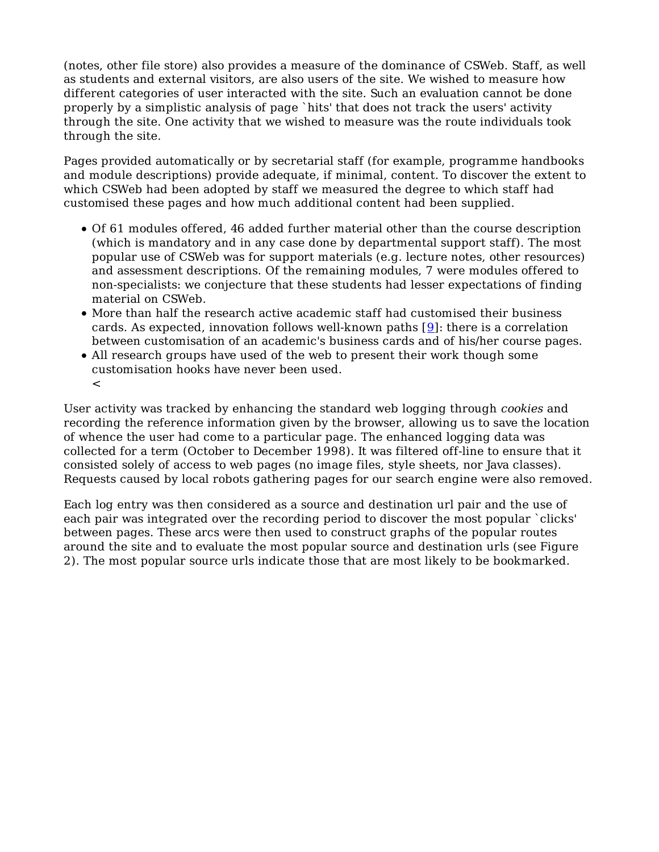(notes, other file store) also provides a measure of the dominance of CSWeb. Staff, as well as students and external visitors, are also users of the site. We wished to measure how different categories of user interacted with the site. Such an evaluation cannot be done properly by a simplistic analysis of page `hits' that does not track the users' activity through the site. One activity that we wished to measure was the route individuals took through the site.

Pages provided automatically or by secretarial staff (for example, programme handbooks and module descriptions) provide adequate, if minimal, content. To discover the extent to which CSWeb had been adopted by staff we measured the degree to which staff had customised these pages and how much additional content had been supplied.

- Of 61 modules offered, 46 added further material other than the course description (which is mandatory and in any case done by departmental support staff). The most popular use of CSWeb was for support materials (e.g. lecture notes, other resources) and assessment descriptions. Of the remaining modules, 7 were modules offered to non-specialists: we conjecture that these students had lesser expectations of finding material on CSWeb.
- More than half the research active academic staff had customised their business cards. As expected, innovation follows well-known paths [9]: there is a correlation between customisation of an academic's business cards and of his/her course pages.
- All research groups have used of the web to present their work though some customisation hooks have never been used.  $\prec$

User activity was tracked by enhancing the standard web logging through *cookies* and recording the reference information given by the browser, allowing us to save the location of whence the user had come to a particular page. The enhanced logging data was collected for a term (October to December 1998). It was filtered off-line to ensure that it consisted solely of access to web pages (no image files, style sheets, nor Java classes). Requests caused by local robots gathering pages for our search engine were also removed.

Each log entry was then considered as a source and destination url pair and the use of each pair was integrated over the recording period to discover the most popular `clicks' between pages. These arcs were then used to construct graphs of the popular routes around the site and to evaluate the most popular source and destination urls (see Figure 2). The most popular source urls indicate those that are most likely to be bookmarked.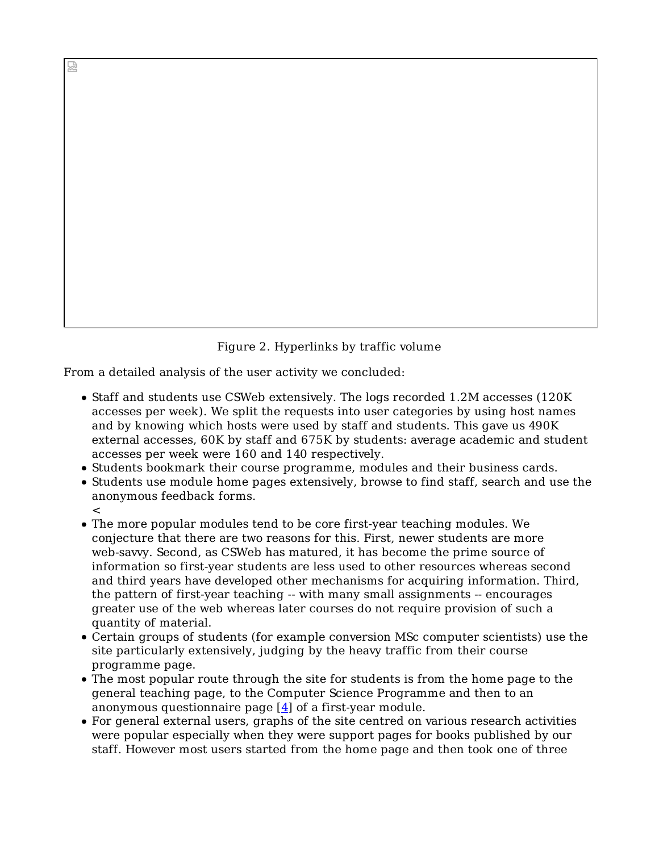

From a detailed analysis of the user activity we concluded:

- Staff and students use CSWeb extensively. The logs recorded 1.2M accesses (120K accesses per week). We split the requests into user categories by using host names and by knowing which hosts were used by staff and students. This gave us 490K external accesses, 60K by staff and 675K by students: average academic and student accesses per week were 160 and 140 respectively.
- Students bookmark their course programme, modules and their business cards.
- Students use module home pages extensively, browse to find staff, search and use the anonymous feedback forms.  $\lt$
- The more popular modules tend to be core first-year teaching modules. We conjecture that there are two reasons for this. First, newer students are more web-savvy. Second, as CSWeb has matured, it has become the prime source of information so first-year students are less used to other resources whereas second and third years have developed other mechanisms for acquiring information. Third, the pattern of first-year teaching -- with many small assignments -- encourages greater use of the web whereas later courses do not require provision of such a quantity of material.
- Certain groups of students (for example conversion MSc computer scientists) use the site particularly extensively, judging by the heavy traffic from their course programme page.
- The most popular route through the site for students is from the home page to the general teaching page, to the Computer Science Programme and then to an anonymous questionnaire page  $[4]$  of a first-year module.
- For general external users, graphs of the site centred on various research activities were popular especially when they were support pages for books published by our staff. However most users started from the home page and then took one of three

쨆